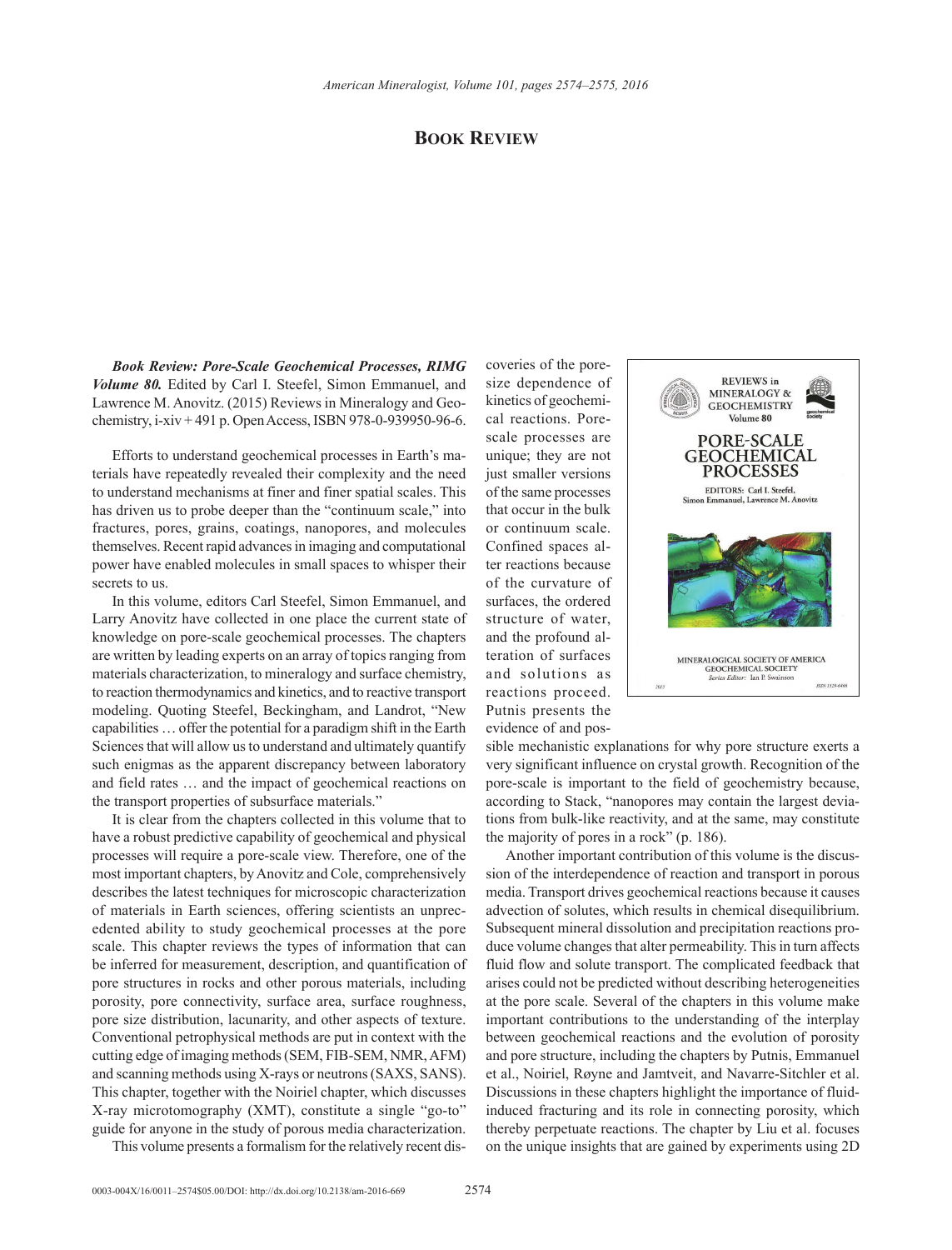## **Book Review**

*Book Review: Pore-Scale Geochemical Processes, RIMG Volume 80.* Edited by Carl I. Steefel, Simon Emmanuel, and Lawrence M. Anovitz. (2015) Reviews in Mineralogy and Geochemistry, i-xiv + 491 p. Open Access, ISBN 978-0-939950-96-6.

Efforts to understand geochemical processes in Earth's materials have repeatedly revealed their complexity and the need to understand mechanisms at finer and finer spatial scales. This has driven us to probe deeper than the "continuum scale," into fractures, pores, grains, coatings, nanopores, and molecules themselves. Recent rapid advances in imaging and computational power have enabled molecules in small spaces to whisper their secrets to us.

In this volume, editors Carl Steefel, Simon Emmanuel, and Larry Anovitz have collected in one place the current state of knowledge on pore-scale geochemical processes. The chapters are written by leading experts on an array of topics ranging from materials characterization, to mineralogy and surface chemistry, to reaction thermodynamics and kinetics, and to reactive transport modeling. Quoting Steefel, Beckingham, and Landrot, "New capabilities … offer the potential for a paradigm shift in the Earth Sciences that will allow us to understand and ultimately quantify such enigmas as the apparent discrepancy between laboratory and field rates … and the impact of geochemical reactions on the transport properties of subsurface materials."

It is clear from the chapters collected in this volume that to have a robust predictive capability of geochemical and physical processes will require a pore-scale view. Therefore, one of the most important chapters, by Anovitz and Cole, comprehensively describes the latest techniques for microscopic characterization of materials in Earth sciences, offering scientists an unprecedented ability to study geochemical processes at the pore scale. This chapter reviews the types of information that can be inferred for measurement, description, and quantification of pore structures in rocks and other porous materials, including porosity, pore connectivity, surface area, surface roughness, pore size distribution, lacunarity, and other aspects of texture. Conventional petrophysical methods are put in context with the cutting edge of imaging methods (SEM, FIB-SEM, NMR, AFM) and scanning methods using X-rays or neutrons (SAXS, SANS). This chapter, together with the Noiriel chapter, which discusses X-ray microtomography (XMT), constitute a single "go-to" guide for anyone in the study of porous media characterization. This volume presents a formalism for the relatively recent discoveries of the poresize dependence of kinetics of geochemical reactions. Porescale processes are unique; they are not just smaller versions of the same processes that occur in the bulk or continuum scale. Confined spaces alter reactions because of the curvature of surfaces, the ordered structure of water, and the profound alteration of surfaces and solutions as reactions proceed. Putnis presents the evidence of and pos-



sible mechanistic explanations for why pore structure exerts a very significant influence on crystal growth. Recognition of the pore-scale is important to the field of geochemistry because, according to Stack, "nanopores may contain the largest deviations from bulk-like reactivity, and at the same, may constitute the majority of pores in a rock" (p. 186).

Another important contribution of this volume is the discussion of the interdependence of reaction and transport in porous media. Transport drives geochemical reactions because it causes advection of solutes, which results in chemical disequilibrium. Subsequent mineral dissolution and precipitation reactions produce volume changes that alter permeability. This in turn affects fluid flow and solute transport. The complicated feedback that arises could not be predicted without describing heterogeneities at the pore scale. Several of the chapters in this volume make important contributions to the understanding of the interplay between geochemical reactions and the evolution of porosity and pore structure, including the chapters by Putnis, Emmanuel et al., Noiriel, Røyne and Jamtveit, and Navarre-Sitchler et al. Discussions in these chapters highlight the importance of fluidinduced fracturing and its role in connecting porosity, which thereby perpetuate reactions. The chapter by Liu et al. focuses on the unique insights that are gained by experiments using 2D